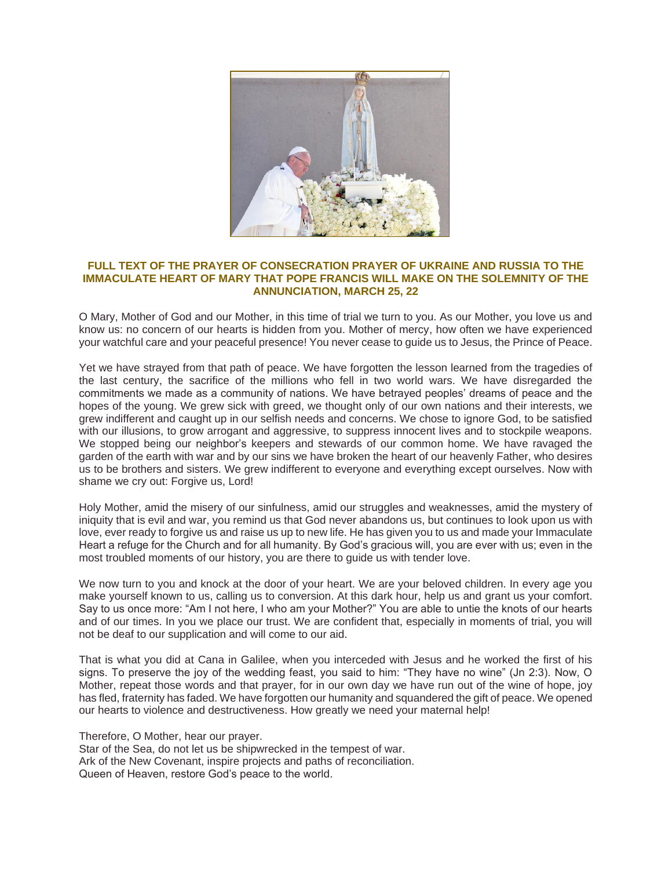

## **FULL TEXT OF THE PRAYER OF CONSECRATION PRAYER OF UKRAINE AND RUSSIA TO THE IMMACULATE HEART OF MARY THAT POPE FRANCIS WILL MAKE ON THE SOLEMNITY OF THE ANNUNCIATION, MARCH 25, 22**

O Mary, Mother of God and our Mother, in this time of trial we turn to you. As our Mother, you love us and know us: no concern of our hearts is hidden from you. Mother of mercy, how often we have experienced your watchful care and your peaceful presence! You never cease to guide us to Jesus, the Prince of Peace.

Yet we have strayed from that path of peace. We have forgotten the lesson learned from the tragedies of the last century, the sacrifice of the millions who fell in two world wars. We have disregarded the commitments we made as a community of nations. We have betrayed peoples' dreams of peace and the hopes of the young. We grew sick with greed, we thought only of our own nations and their interests, we grew indifferent and caught up in our selfish needs and concerns. We chose to ignore God, to be satisfied with our illusions, to grow arrogant and aggressive, to suppress innocent lives and to stockpile weapons. We stopped being our neighbor's keepers and stewards of our common home. We have ravaged the garden of the earth with war and by our sins we have broken the heart of our heavenly Father, who desires us to be brothers and sisters. We grew indifferent to everyone and everything except ourselves. Now with shame we cry out: Forgive us, Lord!

Holy Mother, amid the misery of our sinfulness, amid our struggles and weaknesses, amid the mystery of iniquity that is evil and war, you remind us that God never abandons us, but continues to look upon us with love, ever ready to forgive us and raise us up to new life. He has given you to us and made your Immaculate Heart a refuge for the Church and for all humanity. By God's gracious will, you are ever with us; even in the most troubled moments of our history, you are there to guide us with tender love.

We now turn to you and knock at the door of your heart. We are your beloved children. In every age you make yourself known to us, calling us to conversion. At this dark hour, help us and grant us your comfort. Say to us once more: "Am I not here, I who am your Mother?" You are able to untie the knots of our hearts and of our times. In you we place our trust. We are confident that, especially in moments of trial, you will not be deaf to our supplication and will come to our aid.

That is what you did at Cana in Galilee, when you interceded with Jesus and he worked the first of his signs. To preserve the joy of the wedding feast, you said to him: "They have no wine" (Jn 2:3). Now, O Mother, repeat those words and that prayer, for in our own day we have run out of the wine of hope, joy has fled, fraternity has faded. We have forgotten our humanity and squandered the gift of peace. We opened our hearts to violence and destructiveness. How greatly we need your maternal help!

Therefore, O Mother, hear our prayer. Star of the Sea, do not let us be shipwrecked in the tempest of war. Ark of the New Covenant, inspire projects and paths of reconciliation. Queen of Heaven, restore God's peace to the world.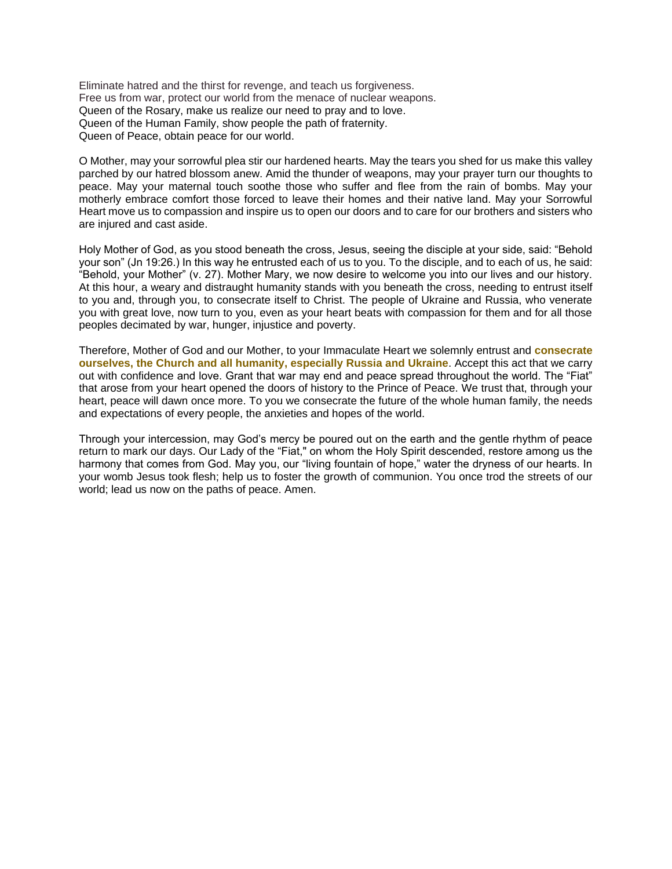Eliminate hatred and the thirst for revenge, and teach us forgiveness. Free us from war, protect our world from the menace of nuclear weapons. Queen of the Rosary, make us realize our need to pray and to love. Queen of the Human Family, show people the path of fraternity. Queen of Peace, obtain peace for our world.

O Mother, may your sorrowful plea stir our hardened hearts. May the tears you shed for us make this valley parched by our hatred blossom anew. Amid the thunder of weapons, may your prayer turn our thoughts to peace. May your maternal touch soothe those who suffer and flee from the rain of bombs. May your motherly embrace comfort those forced to leave their homes and their native land. May your Sorrowful Heart move us to compassion and inspire us to open our doors and to care for our brothers and sisters who are injured and cast aside.

Holy Mother of God, as you stood beneath the cross, Jesus, seeing the disciple at your side, said: "Behold your son" (Jn 19:26.) In this way he entrusted each of us to you. To the disciple, and to each of us, he said: "Behold, your Mother" (v. 27). Mother Mary, we now desire to welcome you into our lives and our history. At this hour, a weary and distraught humanity stands with you beneath the cross, needing to entrust itself to you and, through you, to consecrate itself to Christ. The people of Ukraine and Russia, who venerate you with great love, now turn to you, even as your heart beats with compassion for them and for all those peoples decimated by war, hunger, injustice and poverty.

Therefore, Mother of God and our Mother, to your Immaculate Heart we solemnly entrust and **consecrate ourselves, the Church and all humanity, especially Russia and Ukraine**. Accept this act that we carry out with confidence and love. Grant that war may end and peace spread throughout the world. The "Fiat" that arose from your heart opened the doors of history to the Prince of Peace. We trust that, through your heart, peace will dawn once more. To you we consecrate the future of the whole human family, the needs and expectations of every people, the anxieties and hopes of the world.

Through your intercession, may God's mercy be poured out on the earth and the gentle rhythm of peace return to mark our days. Our Lady of the "Fiat," on whom the Holy Spirit descended, restore among us the harmony that comes from God. May you, our "living fountain of hope," water the dryness of our hearts. In your womb Jesus took flesh; help us to foster the growth of communion. You once trod the streets of our world; lead us now on the paths of peace. Amen.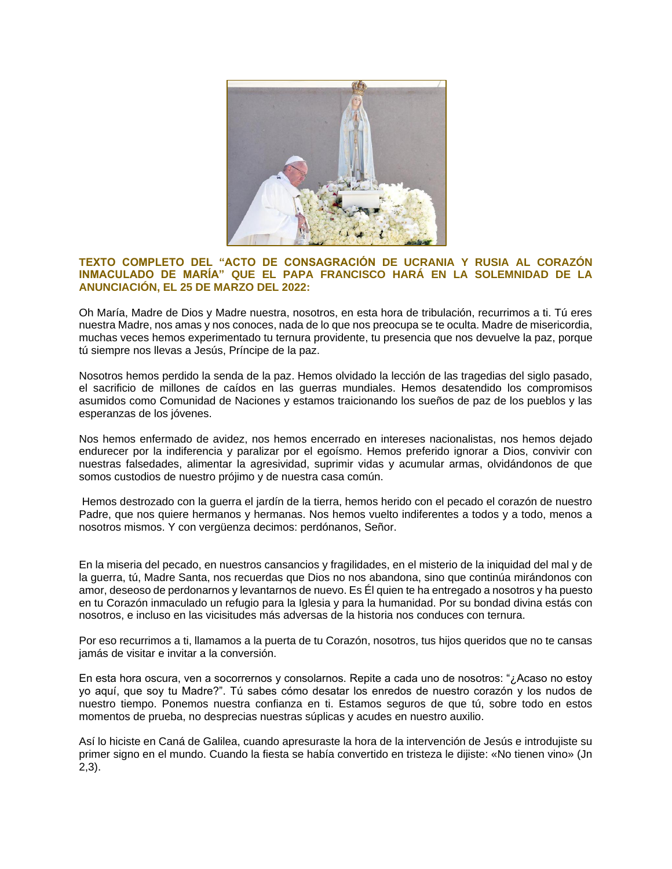

## **TEXTO COMPLETO DEL "ACTO DE CONSAGRACIÓN DE UCRANIA Y RUSIA AL CORAZÓN INMACULADO DE MARÍA" QUE EL PAPA FRANCISCO HARÁ EN LA SOLEMNIDAD DE LA ANUNCIACIÓN, EL 25 DE MARZO DEL 2022:**

Oh María, Madre de Dios y Madre nuestra, nosotros, en esta hora de tribulación, recurrimos a ti. Tú eres nuestra Madre, nos amas y nos conoces, nada de lo que nos preocupa se te oculta. Madre de misericordia, muchas veces hemos experimentado tu ternura providente, tu presencia que nos devuelve la paz, porque tú siempre nos llevas a Jesús, Príncipe de la paz.

Nosotros hemos perdido la senda de la paz. Hemos olvidado la lección de las tragedias del siglo pasado, el sacrificio de millones de caídos en las guerras mundiales. Hemos desatendido los compromisos asumidos como Comunidad de Naciones y estamos traicionando los sueños de paz de los pueblos y las esperanzas de los jóvenes.

Nos hemos enfermado de avidez, nos hemos encerrado en intereses nacionalistas, nos hemos dejado endurecer por la indiferencia y paralizar por el egoísmo. Hemos preferido ignorar a Dios, convivir con nuestras falsedades, alimentar la agresividad, suprimir vidas y acumular armas, olvidándonos de que somos custodios de nuestro prójimo y de nuestra casa común.

Hemos destrozado con la guerra el jardín de la tierra, hemos herido con el pecado el corazón de nuestro Padre, que nos quiere hermanos y hermanas. Nos hemos vuelto indiferentes a todos y a todo, menos a nosotros mismos. Y con vergüenza decimos: perdónanos, Señor.

En la miseria del pecado, en nuestros cansancios y fragilidades, en el misterio de la iniquidad del mal y de la guerra, tú, Madre Santa, nos recuerdas que Dios no nos abandona, sino que continúa mirándonos con amor, deseoso de perdonarnos y levantarnos de nuevo. Es Él quien te ha entregado a nosotros y ha puesto en tu Corazón inmaculado un refugio para la Iglesia y para la humanidad. Por su bondad divina estás con nosotros, e incluso en las vicisitudes más adversas de la historia nos conduces con ternura.

Por eso recurrimos a ti, llamamos a la puerta de tu Corazón, nosotros, tus hijos queridos que no te cansas jamás de visitar e invitar a la conversión.

En esta hora oscura, ven a socorrernos y consolarnos. Repite a cada uno de nosotros: "¿Acaso no estoy yo aquí, que soy tu Madre?". Tú sabes cómo desatar los enredos de nuestro corazón y los nudos de nuestro tiempo. Ponemos nuestra confianza en ti. Estamos seguros de que tú, sobre todo en estos momentos de prueba, no desprecias nuestras súplicas y acudes en nuestro auxilio.

Así lo hiciste en Caná de Galilea, cuando apresuraste la hora de la intervención de Jesús e introdujiste su primer signo en el mundo. Cuando la fiesta se había convertido en tristeza le dijiste: «No tienen vino» (Jn 2,3).